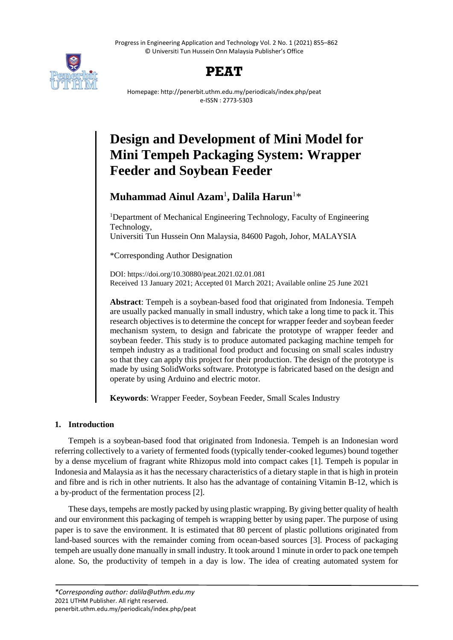Progress in Engineering Application and Technology Vol. 2 No. 1 (2021) 855–862 © Universiti Tun Hussein Onn Malaysia Publisher's Office





Homepage: http://penerbit.uthm.edu.my/periodicals/index.php/peat e-ISSN : 2773-5303

# **Design and Development of Mini Model for Mini Tempeh Packaging System: Wrapper Feeder and Soybean Feeder**

# **Muhammad Ainul Azam**<sup>1</sup> **, Dalila Harun**<sup>1</sup>\*

<sup>1</sup>Department of Mechanical Engineering Technology, Faculty of Engineering Technology, Universiti Tun Hussein Onn Malaysia, 84600 Pagoh, Johor, MALAYSIA

\*Corresponding Author Designation

DOI: https://doi.org/10.30880/peat.2021.02.01.081 Received 13 January 2021; Accepted 01 March 2021; Available online 25 June 2021

**Abstract**: Tempeh is a soybean-based food that originated from Indonesia. Tempeh are usually packed manually in small industry, which take a long time to pack it. This research objectives is to determine the concept for wrapper feeder and soybean feeder mechanism system, to design and fabricate the prototype of wrapper feeder and soybean feeder. This study is to produce automated packaging machine tempeh for tempeh industry as a traditional food product and focusing on small scales industry so that they can apply this project for their production. The design of the prototype is made by using SolidWorks software. Prototype is fabricated based on the design and operate by using Arduino and electric motor.

**Keywords**: Wrapper Feeder, Soybean Feeder, Small Scales Industry

# **1. Introduction**

Tempeh is a soybean-based food that originated from Indonesia. Tempeh is an Indonesian word referring collectively to a variety of fermented foods (typically tender-cooked legumes) bound together by a dense mycelium of fragrant white Rhizopus mold into compact cakes [1]. Tempeh is popular in Indonesia and Malaysia as it has the necessary characteristics of a dietary staple in that is high in protein and fibre and is rich in other nutrients. It also has the advantage of containing Vitamin B-12, which is a by-product of the fermentation process [2].

These days, tempehs are mostly packed by using plastic wrapping. By giving better quality of health and our environment this packaging of tempeh is wrapping better by using paper. The purpose of using paper is to save the environment. It is estimated that 80 percent of plastic pollutions originated from land-based sources with the remainder coming from ocean-based sources [3]. Process of packaging tempeh are usually done manually in small industry. It took around 1 minute in order to pack one tempeh alone. So, the productivity of tempeh in a day is low. The idea of creating automated system for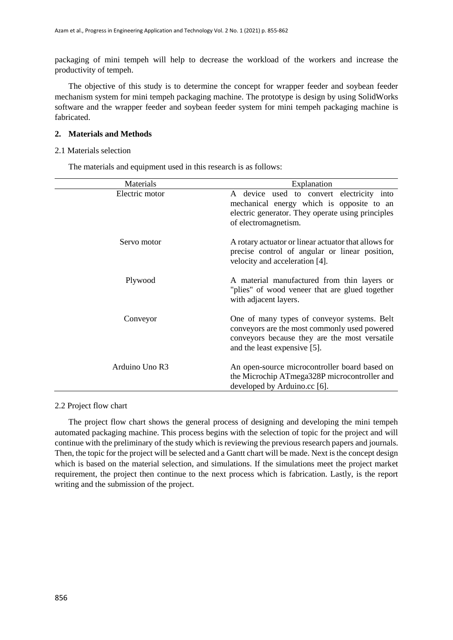packaging of mini tempeh will help to decrease the workload of the workers and increase the productivity of tempeh.

The objective of this study is to determine the concept for wrapper feeder and soybean feeder mechanism system for mini tempeh packaging machine. The prototype is design by using SolidWorks software and the wrapper feeder and soybean feeder system for mini tempeh packaging machine is fabricated.

#### **2. Materials and Methods**

#### 2.1 Materials selection

The materials and equipment used in this research is as follows:

| Materials      | Explanation                                                                                                                                                                  |
|----------------|------------------------------------------------------------------------------------------------------------------------------------------------------------------------------|
| Electric motor | A device used to convert electricity into<br>mechanical energy which is opposite to an<br>electric generator. They operate using principles<br>of electromagnetism.          |
| Servo motor    | A rotary actuator or linear actuator that allows for<br>precise control of angular or linear position,<br>velocity and acceleration [4].                                     |
| Plywood        | A material manufactured from thin layers or<br>"plies" of wood veneer that are glued together<br>with adjacent layers.                                                       |
| Conveyor       | One of many types of conveyor systems. Belt<br>conveyors are the most commonly used powered<br>conveyors because they are the most versatile<br>and the least expensive [5]. |
| Arduino Uno R3 | An open-source microcontroller board based on<br>the Microchip ATmega328P microcontroller and<br>developed by Arduino.cc [6].                                                |

# 2.2 Project flow chart

The project flow chart shows the general process of designing and developing the mini tempeh automated packaging machine. This process begins with the selection of topic for the project and will continue with the preliminary of the study which is reviewing the previous research papers and journals. Then, the topic for the project will be selected and a Gantt chart will be made. Next is the concept design which is based on the material selection, and simulations. If the simulations meet the project market requirement, the project then continue to the next process which is fabrication. Lastly, is the report writing and the submission of the project.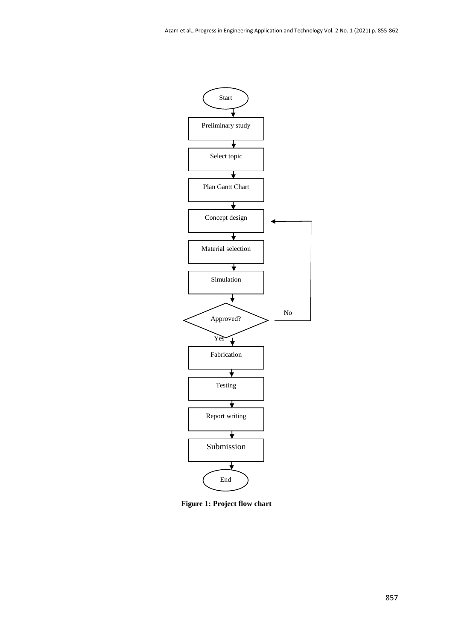

**Figure 1: Project flow chart**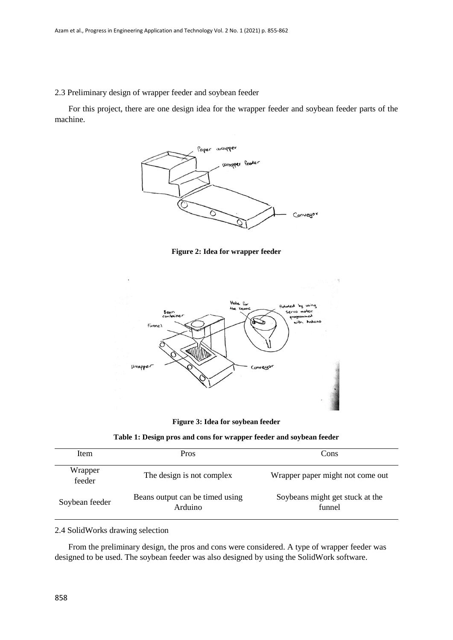2.3 Preliminary design of wrapper feeder and soybean feeder

For this project, there are one design idea for the wrapper feeder and soybean feeder parts of the machine.







**Figure 3: Idea for soybean feeder**

| Table 1: Design pros and cons for wrapper feeder and soybean feeder |  |  |
|---------------------------------------------------------------------|--|--|
|---------------------------------------------------------------------|--|--|

| Item              | <b>Pros</b>                                | Cons                                      |
|-------------------|--------------------------------------------|-------------------------------------------|
| Wrapper<br>feeder | The design is not complex                  | Wrapper paper might not come out          |
| Soybean feeder    | Beans output can be timed using<br>Arduino | Soybeans might get stuck at the<br>funnel |

### 2.4 SolidWorks drawing selection

From the preliminary design, the pros and cons were considered. A type of wrapper feeder was designed to be used. The soybean feeder was also designed by using the SolidWork software.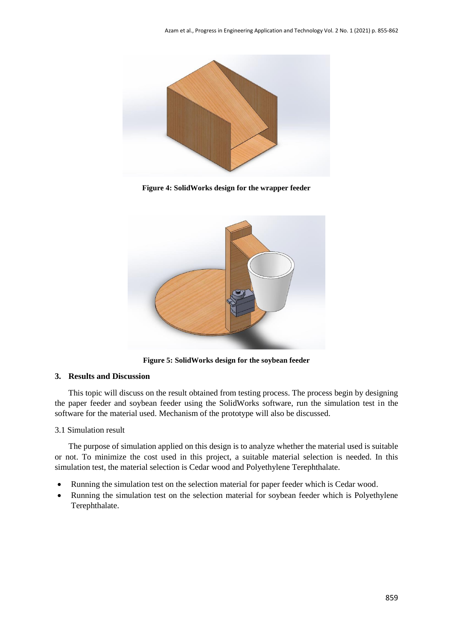

**Figure 4: SolidWorks design for the wrapper feeder**



**Figure 5: SolidWorks design for the soybean feeder**

# **3. Results and Discussion**

This topic will discuss on the result obtained from testing process. The process begin by designing the paper feeder and soybean feeder using the SolidWorks software, run the simulation test in the software for the material used. Mechanism of the prototype will also be discussed.

# 3.1 Simulation result

The purpose of simulation applied on this design is to analyze whether the material used is suitable or not. To minimize the cost used in this project, a suitable material selection is needed. In this simulation test, the material selection is Cedar wood and Polyethylene Terephthalate.

- Running the simulation test on the selection material for paper feeder which is Cedar wood.
- Running the simulation test on the selection material for soybean feeder which is Polyethylene Terephthalate.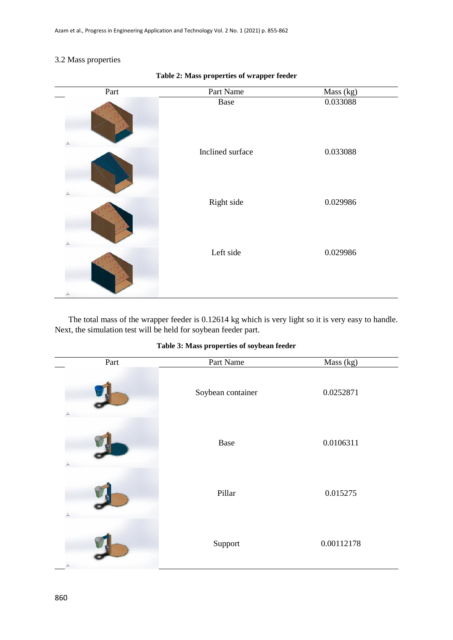# 3.2 Mass properties

| Part | Part Name        | $\overline{Mass (kg)}$ |
|------|------------------|------------------------|
|      | Base             | 0.033088               |
|      | Inclined surface | 0.033088               |
|      | Right side       | 0.029986               |
| 人    | Left side        | 0.029986               |

# **Table 2: Mass properties of wrapper feeder**

The total mass of the wrapper feeder is 0.12614 kg which is very light so it is very easy to handle. Next, the simulation test will be held for soybean feeder part.

# **Table 3: Mass properties of soybean feeder**

| Part      | Part Name         | Mass (kg)  |
|-----------|-------------------|------------|
|           | Soybean container | 0.0252871  |
|           | Base              | 0.0106311  |
|           | Pillar            | 0.015275   |
| $\lambda$ | Support           | 0.00112178 |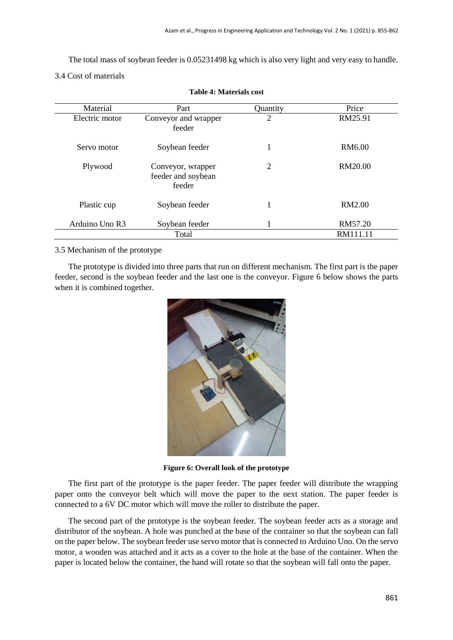The total mass of soybean feeder is 0.05231498 kg which is also very light and very easy to handle.

# 3.4 Cost of materials

| Material       | Part                                              | Quantity       | Price    |
|----------------|---------------------------------------------------|----------------|----------|
| Electric motor | Conveyor and wrapper<br>feeder                    | $\overline{2}$ | RM25.91  |
| Servo motor    | Soybean feeder                                    | 1              | RM6.00   |
| Plywood        | Conveyor, wrapper<br>feeder and soybean<br>feeder | 2              | RM20.00  |
| Plastic cup    | Soybean feeder                                    |                | RM2.00   |
| Arduino Uno R3 | Soybean feeder                                    |                | RM57.20  |
|                | Total                                             |                | RM111.11 |

**Table 4: Materials cost**

# 3.5 Mechanism of the prototype

The prototype is divided into three parts that run on different mechanism. The first part is the paper feeder, second is the soybean feeder and the last one is the conveyor. Figure 6 below shows the parts when it is combined together.



**Figure 6: Overall look of the prototype**

The first part of the prototype is the paper feeder. The paper feeder will distribute the wrapping paper onto the conveyor belt which will move the paper to the next station. The paper feeder is connected to a 6V DC motor which will move the roller to distribute the paper.

The second part of the prototype is the soybean feeder. The soybean feeder acts as a storage and distributor of the soybean. A hole was punched at the base of the container so that the soybean can fall on the paper below. The soybean feeder use servo motor that is connected to Arduino Uno. On the servo motor, a wooden was attached and it acts as a cover to the hole at the base of the container. When the paper is located below the container, the hand will rotate so that the soybean will fall onto the paper.